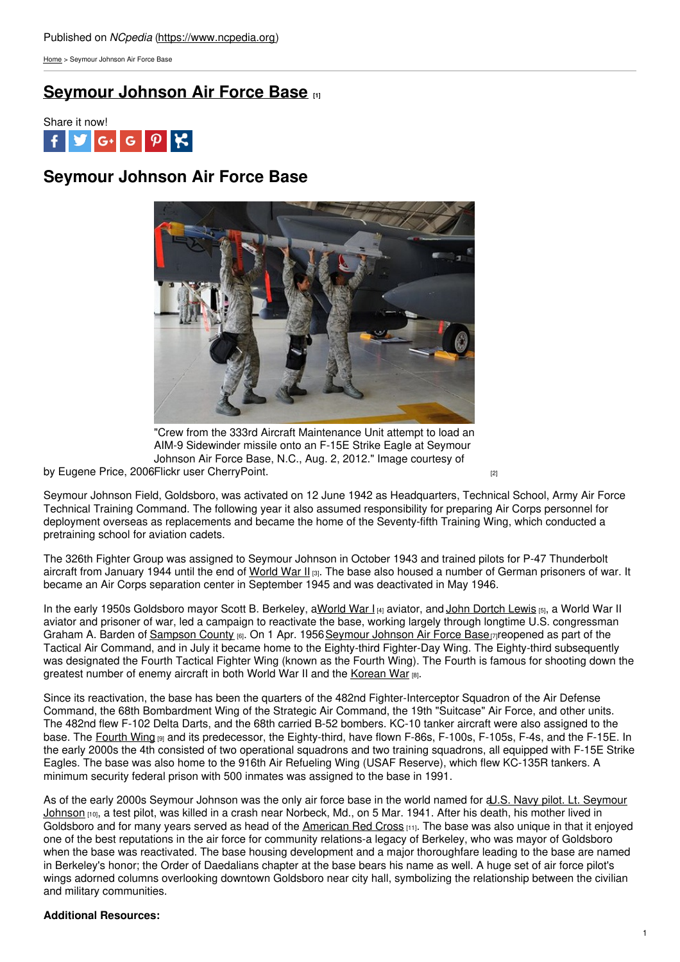[Home](https://www.ncpedia.org/) > Seymour Johnson Air Force Base

# **[Seymour](https://www.ncpedia.org/seymour-johnson-air-force-base) Johnson Air Force Base [1]**



# **Seymour Johnson Air Force Base**



by Eugene Price, 2006Flickr user [CherryPoint.](https://www.flickr.com/photos/usairforce/7753432042/) <sub>[2]</sub> "Crew from the 333rd Aircraft Maintenance Unit attempt to load an AIM-9 Sidewinder missile onto an F-15E Strike Eagle at Seymour Johnson Air Force Base, N.C., Aug. 2, 2012." Image courtesy of

Seymour Johnson Field, Goldsboro, was activated on 12 June 1942 as Headquarters, Technical School, Army Air Force Technical Training Command. The following year it also assumed responsibility for preparing Air Corps personnel for deployment overseas as replacements and became the home of the Seventy-fifth Training Wing, which conducted a pretraining school for aviation cadets.

The 326th Fighter Group was assigned to Seymour Johnson in October 1943 and trained pilots for P-47 Thunderbolt aircraft from January 1944 until the end of [World](https://www.ncpedia.org/world-war-ii) War II [3]. The base also housed a number of German prisoners of war. It became an Air Corps separation center in September 1945 and was deactivated in May 1946.

In the early 1950s Goldsboro mayor Scott B. Berkeley, a[World](https://www.ncpedia.org/world-war-i) War I [4] aviator, and John [Dortch](http://www.nytimes.com/1999/08/13/world/john-d-lewis-84-pilot-in-the-great-escape.html) Lewis [5], a World War II aviator and prisoner of war, led a campaign to reactivate the base, working largely through longtime U.S. congressman Graham A. Barden of [Sampson](https://www.ncpedia.org/geography/sampson) County [6]. On 1 Apr. 1956 [Seymour](http://www.seymourjohnson.af.mil/) Johnson Air Force Base [7] reopened as part of the Tactical Air Command, and in July it became home to the Eighty-third Fighter-Day Wing. The Eighty-third subsequently was designated the Fourth Tactical Fighter Wing (known as the Fourth Wing). The Fourth is famous for shooting down the greatest number of enemy aircraft in both World War II and the [Korean](https://www.ncpedia.org/korean-war) War [8].

Since its reactivation, the base has been the quarters of the 482nd Fighter-Interceptor Squadron of the Air Defense Command, the 68th Bombardment Wing of the Strategic Air Command, the 19th "Suitcase" Air Force, and other units. The 482nd flew F-102 Delta Darts, and the 68th carried B-52 bombers. KC-10 tanker aircraft were also assigned to the base. The [Fourth](http://www.seymourjohnson.af.mil/units/index.asp) Wing [9] and its predecessor, the Eighty-third, have flown F-86s, F-100s, F-105s, F-4s, and the F-15E. In the early 2000s the 4th consisted of two operational squadrons and two training squadrons, all equipped with F-15E Strike Eagles. The base was also home to the 916th Air Refueling Wing (USAF Reserve), which flew KC-135R tankers. A minimum security federal prison with 500 inmates was assigned to the base in 1991.

As of the early 2000s [Seymour](http://www.seymourjohnson.af.mil/library/factsheets/factsheet_print.asp?fsID=4328&page=1) Johnson was the only air force base in the world named for a U.S. Navy pilot. Lt. Seymour Johnson [10], a test pilot, was killed in a crash near Norbeck, Md., on 5 Mar. 1941. After his death, his mother lived in Goldsboro and for many years served as head of the [American](http://www.redcross.org/) Red Cross  $[11]$ . The base was also unique in that it enjoyed one of the best reputations in the air force for community relations-a legacy of Berkeley, who was mayor of Goldsboro when the base was reactivated. The base housing development and a major thoroughfare leading to the base are named in Berkeley's honor; the Order of Daedalians chapter at the base bears his name as well. A huge set of air force pilot's wings adorned columns overlooking downtown Goldsboro near city hall, symbolizing the relationship between the civilian and military communities.

### **Additional Resources:**